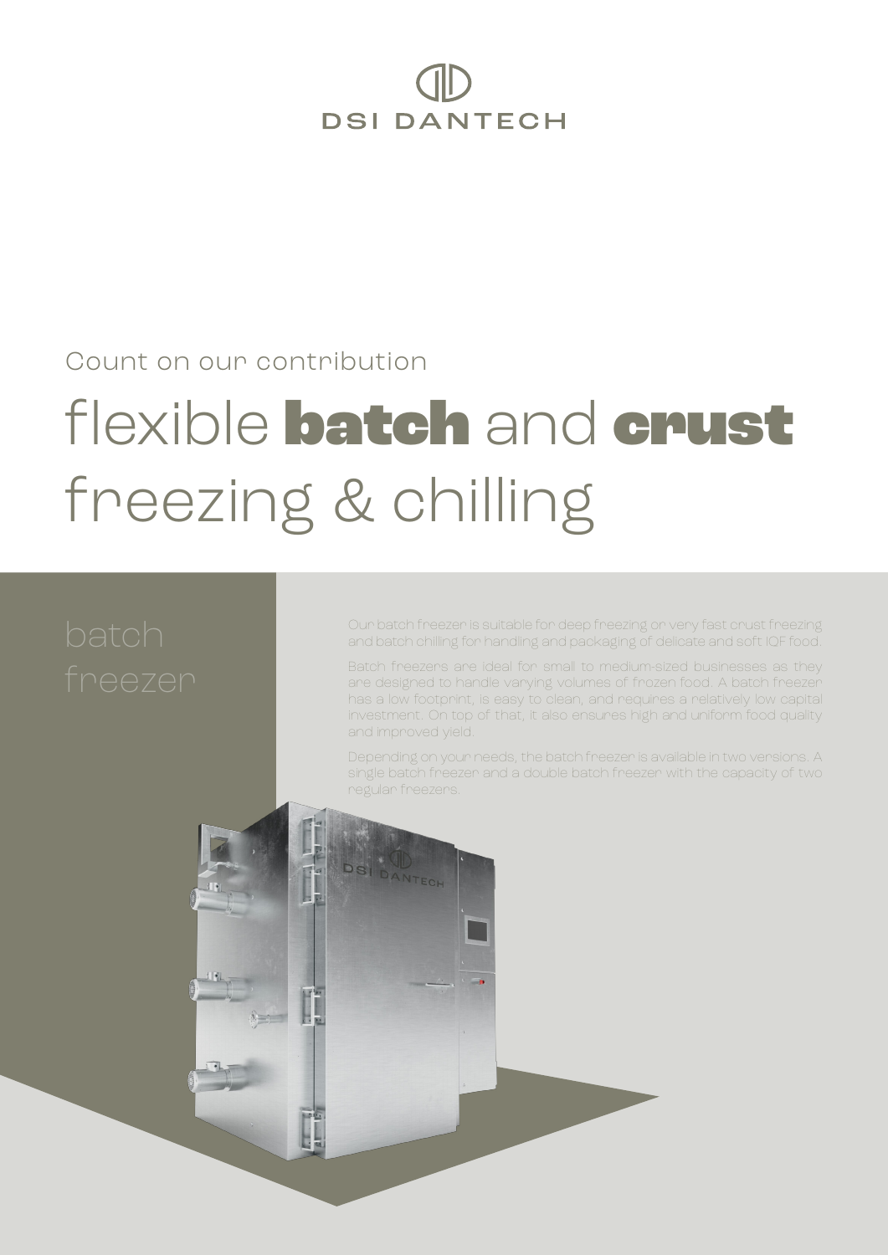# **DSI DANTECH**

#### Count on our contribution

## flexible batch and crust freezing & chilling

Our batch freezer is suitable for deep freezing or very fast crust freezing and batch chilling for handling and packaging of delicate and soft IQF food.

Batch freezers are ideal for small to medium-sized businesses as they are designed to handle varying volumes of frozen food. A batch freezer has a low footprint, is easy to clean, and requires a relatively low capital investment. On top of that, it also ensures high and uniform food quality and improved yield.

Depending on your needs, the batch freezer is available in two versions. A single batch freezer and a double batch freezer with the capacity of two regular freezers.